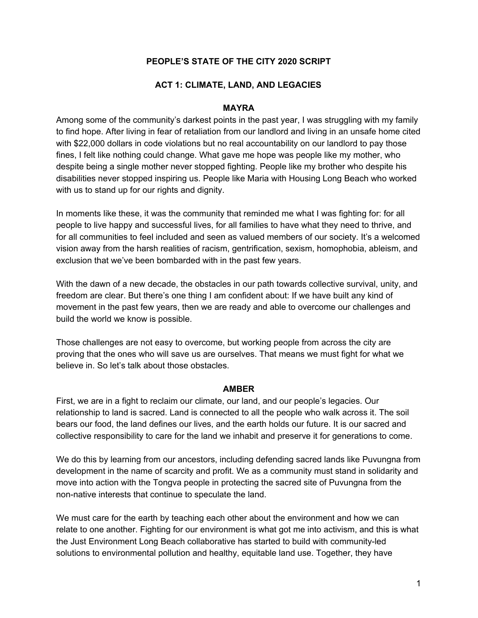### **PEOPLE'S STATE OF THE CITY 2020 SCRIPT**

#### **ACT 1: CLIMATE, LAND, AND LEGACIES**

#### **MAYRA**

Among some of the community's darkest points in the past year, I was struggling with my family to find hope. After living in fear of retaliation from our landlord and living in an unsafe home cited with \$22,000 dollars in code violations but no real accountability on our landlord to pay those fines, I felt like nothing could change. What gave me hope was people like my mother, who despite being a single mother never stopped fighting. People like my brother who despite his disabilities never stopped inspiring us. People like Maria with Housing Long Beach who worked with us to stand up for our rights and dignity.

In moments like these, it was the community that reminded me what I was fighting for: for all people to live happy and successful lives, for all families to have what they need to thrive, and for all communities to feel included and seen as valued members of our society. It's a welcomed vision away from the harsh realities of racism, gentrification, sexism, homophobia, ableism, and exclusion that we've been bombarded with in the past few years.

With the dawn of a new decade, the obstacles in our path towards collective survival, unity, and freedom are clear. But there's one thing I am confident about: If we have built any kind of movement in the past few years, then we are ready and able to overcome our challenges and build the world we know is possible.

Those challenges are not easy to overcome, but working people from across the city are proving that the ones who will save us are ourselves. That means we must fight for what we believe in. So let's talk about those obstacles.

#### **AMBER**

First, we are in a fight to reclaim our climate, our land, and our people's legacies. Our relationship to land is sacred. Land is connected to all the people who walk across it. The soil bears our food, the land defines our lives, and the earth holds our future. It is our sacred and collective responsibility to care for the land we inhabit and preserve it for generations to come.

We do this by learning from our ancestors, including defending sacred lands like Puvungna from development in the name of scarcity and profit. We as a community must stand in solidarity and move into action with the Tongva people in protecting the sacred site of Puvungna from the non-native interests that continue to speculate the land.

We must care for the earth by teaching each other about the environment and how we can relate to one another. Fighting for our environment is what got me into activism, and this is what the Just Environment Long Beach collaborative has started to build with community-led solutions to environmental pollution and healthy, equitable land use. Together, they have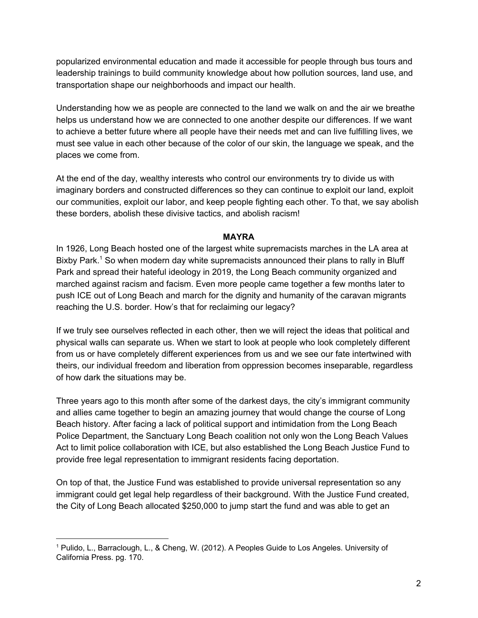popularized environmental education and made it accessible for people through bus tours and leadership trainings to build community knowledge about how pollution sources, land use, and transportation shape our neighborhoods and impact our health.

Understanding how we as people are connected to the land we walk on and the air we breathe helps us understand how we are connected to one another despite our differences. If we want to achieve a better future where all people have their needs met and can live fulfilling lives, we must see value in each other because of the color of our skin, the language we speak, and the places we come from.

At the end of the day, wealthy interests who control our environments try to divide us with imaginary borders and constructed differences so they can continue to exploit our land, exploit our communities, exploit our labor, and keep people fighting each other. To that, we say abolish these borders, abolish these divisive tactics, and abolish racism!

#### **MAYRA**

In 1926, Long Beach hosted one of the largest white supremacists marches in the LA area at Bixby Park.<sup>1</sup> So when modern day white supremacists announced their plans to rally in Bluff Park and spread their hateful ideology in 2019, the Long Beach community organized and marched against racism and facism. Even more people came together a few months later to push ICE out of Long Beach and march for the dignity and humanity of the caravan migrants reaching the U.S. border. How's that for reclaiming our legacy?

If we truly see ourselves reflected in each other, then we will reject the ideas that political and physical walls can separate us. When we start to look at people who look completely different from us or have completely different experiences from us and we see our fate intertwined with theirs, our individual freedom and liberation from oppression becomes inseparable, regardless of how dark the situations may be.

Three years ago to this month after some of the darkest days, the city's immigrant community and allies came together to begin an amazing journey that would change the course of Long Beach history. After facing a lack of political support and intimidation from the Long Beach Police Department, the Sanctuary Long Beach coalition not only won the Long Beach Values Act to limit police collaboration with ICE, but also established the Long Beach Justice Fund to provide free legal representation to immigrant residents facing deportation.

On top of that, the Justice Fund was established to provide universal representation so any immigrant could get legal help regardless of their background. With the Justice Fund created, the City of Long Beach allocated \$250,000 to jump start the fund and was able to get an

<sup>1</sup> Pulido, L., Barraclough, L., & Cheng, W. (2012). A Peoples Guide to Los Angeles. University of California Press. pg. 170.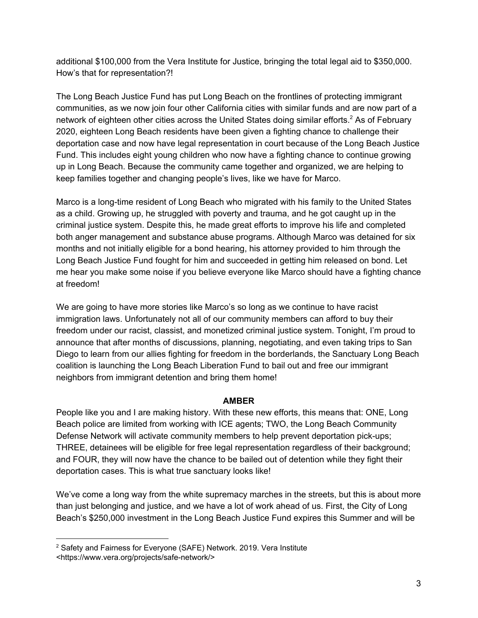additional \$100,000 from the Vera Institute for Justice, bringing the total legal aid to \$350,000. How's that for representation?!

The Long Beach Justice Fund has put Long Beach on the frontlines of protecting immigrant communities, as we now join four other California cities with similar funds and are now part of a network of eighteen other cities across the United States doing similar efforts.<sup>2</sup> As of February 2020, eighteen Long Beach residents have been given a fighting chance to challenge their deportation case and now have legal representation in court because of the Long Beach Justice Fund. This includes eight young children who now have a fighting chance to continue growing up in Long Beach. Because the community came together and organized, we are helping to keep families together and changing people's lives, like we have for Marco.

Marco is a long-time resident of Long Beach who migrated with his family to the United States as a child. Growing up, he struggled with poverty and trauma, and he got caught up in the criminal justice system. Despite this, he made great efforts to improve his life and completed both anger management and substance abuse programs. Although Marco was detained for six months and not initially eligible for a bond hearing, his attorney provided to him through the Long Beach Justice Fund fought for him and succeeded in getting him released on bond. Let me hear you make some noise if you believe everyone like Marco should have a fighting chance at freedom!

We are going to have more stories like Marco's so long as we continue to have racist immigration laws. Unfortunately not all of our community members can afford to buy their freedom under our racist, classist, and monetized criminal justice system. Tonight, I'm proud to announce that after months of discussions, planning, negotiating, and even taking trips to San Diego to learn from our allies fighting for freedom in the borderlands, the Sanctuary Long Beach coalition is launching the Long Beach Liberation Fund to bail out and free our immigrant neighbors from immigrant detention and bring them home!

# **AMBER**

People like you and I are making history. With these new efforts, this means that: ONE, Long Beach police are limited from working with ICE agents; TWO, the Long Beach Community Defense Network will activate community members to help prevent deportation pick-ups; THREE, detainees will be eligible for free legal representation regardless of their background; and FOUR, they will now have the chance to be bailed out of detention while they fight their deportation cases. This is what true sanctuary looks like!

We've come a long way from the white supremacy marches in the streets, but this is about more than just belonging and justice, and we have a lot of work ahead of us. First, the City of Long Beach's \$250,000 investment in the Long Beach Justice Fund expires this Summer and will be

<sup>&</sup>lt;sup>2</sup> Safety and Fairness for Everyone (SAFE) Network. 2019. Vera Institute <<https://www.vera.org/projects/safe-network/>>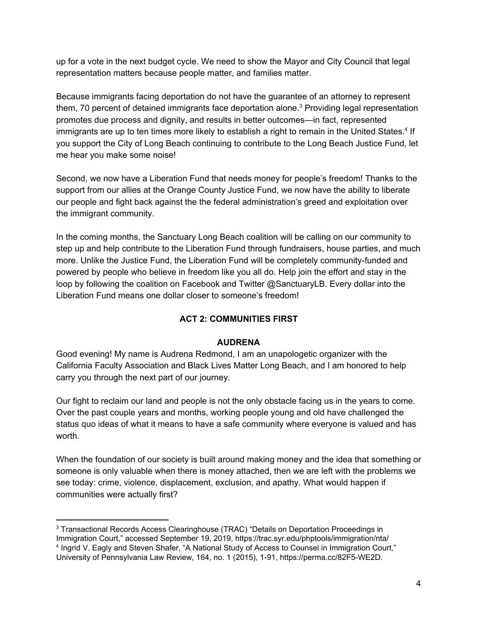up for a vote in the next budget cycle. We need to show the Mayor and City Council that legal representation matters because people matter, and families matter.

Because immigrants facing deportation do not have the guarantee of an attorney to represent them, 70 percent of detained immigrants face deportation alone.<sup>3</sup> Providing legal representation promotes due process and dignity, and results in better outcomes—in fact, represented immigrants are up to ten times more likely to establish a right to remain in the United States.<sup>4</sup> If you support the City of Long Beach continuing to contribute to the Long Beach Justice Fund, let me hear you make some noise!

Second, we now have a Liberation Fund that needs money for people's freedom! Thanks to the support from our allies at the Orange County Justice Fund, we now have the ability to liberate our people and fight back against the the federal administration's greed and exploitation over the immigrant community.

In the coming months, the Sanctuary Long Beach coalition will be calling on our community to step up and help contribute to the Liberation Fund through fundraisers, house parties, and much more. Unlike the Justice Fund, the Liberation Fund will be completely community-funded and powered by people who believe in freedom like you all do. Help join the effort and stay in the loop by following the coalition on Facebook and Twitter @SanctuaryLB. Every dollar into the Liberation Fund means one dollar closer to someone's freedom!

# **ACT 2: COMMUNITIES FIRST**

# **AUDRENA**

Good evening! My name is Audrena Redmond, I am an unapologetic organizer with the California Faculty Association and Black Lives Matter Long Beach, and I am honored to help carry you through the next part of our journey.

Our fight to reclaim our land and people is not the only obstacle facing us in the years to come. Over the past couple years and months, working people young and old have challenged the status quo ideas of what it means to have a safe community where everyone is valued and has worth.

When the foundation of our society is built around making money and the idea that something or someone is only valuable when there is money attached, then we are left with the problems we see today: crime, violence, displacement, exclusion, and apathy. What would happen if communities were actually first?

<sup>3</sup> Transactional Records Access Clearinghouse (TRAC) "Details on Deportation Proceedings in Immigration Court," accessed September 19, 2019, https://trac.syr.edu/phptools/immigration/nta/ 4 Ingrid V. Eagly and Steven Shafer, "A National Study of Access to Counsel in Immigration Court," University of Pennsylvania Law Review, 164, no. 1 (2015), 1-91, https://perma.cc/82F5-WE2D.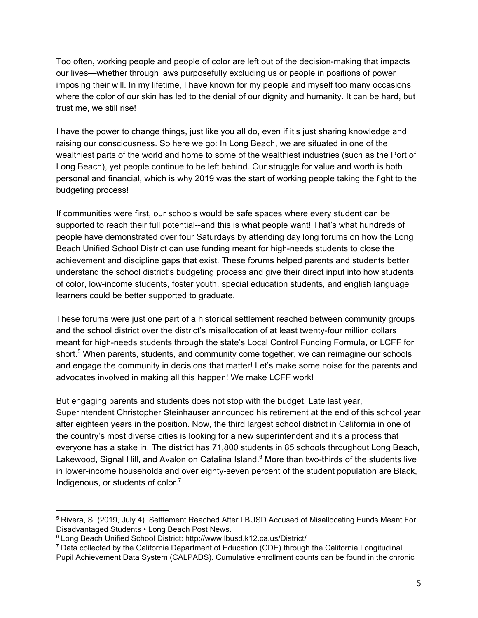Too often, working people and people of color are left out of the decision-making that impacts our lives—whether through laws purposefully excluding us or people in positions of power imposing their will. In my lifetime, I have known for my people and myself too many occasions where the color of our skin has led to the denial of our dignity and humanity. It can be hard, but trust me, we still rise!

I have the power to change things, just like you all do, even if it's just sharing knowledge and raising our consciousness. So here we go: In Long Beach, we are situated in one of the wealthiest parts of the world and home to some of the wealthiest industries (such as the Port of Long Beach), yet people continue to be left behind. Our struggle for value and worth is both personal and financial, which is why 2019 was the start of working people taking the fight to the budgeting process!

If communities were first, our schools would be safe spaces where every student can be supported to reach their full potential--and this is what people want! That's what hundreds of people have demonstrated over four Saturdays by attending day long forums on how the Long Beach Unified School District can use funding meant for high-needs students to close the achievement and discipline gaps that exist. These forums helped parents and students better understand the school district's budgeting process and give their direct input into how students of color, low-income students, foster youth, special education students, and english language learners could be better supported to graduate.

These forums were just one part of a historical settlement reached between community groups and the school district over the district's misallocation of at least twenty-four million dollars meant for high-needs students through the state's Local Control Funding Formula, or LCFF for short.<sup>5</sup> When parents, students, and community come together, we can reimagine our schools and engage the community in decisions that matter! Let's make some noise for the parents and advocates involved in making all this happen! We make LCFF work!

But engaging parents and students does not stop with the budget. Late last year, Superintendent Christopher Steinhauser announced his retirement at the end of this school year after eighteen years in the position. Now, the third largest school district in California in one of the country's most diverse cities is looking for a new superintendent and it's a process that everyone has a stake in. The district has 71,800 students in 85 schools throughout Long Beach, Lakewood, Signal Hill, and Avalon on Catalina Island. $6$  More than two-thirds of the students live in lower-income households and over eighty-seven percent of the student population are Black, Indigenous, or students of color. 7

<sup>5</sup> Rivera, S. (2019, July 4). Settlement Reached After LBUSD Accused of Misallocating Funds Meant For Disadvantaged Students • Long Beach Post News.

<sup>6</sup> Long Beach Unified School District: <http://www.lbusd.k12.ca.us/District/>

 $7$  Data collected by the California Department of Education (CDE) through the California Longitudinal Pupil Achievement Data System (CALPADS). Cumulative enrollment counts can be found in the chronic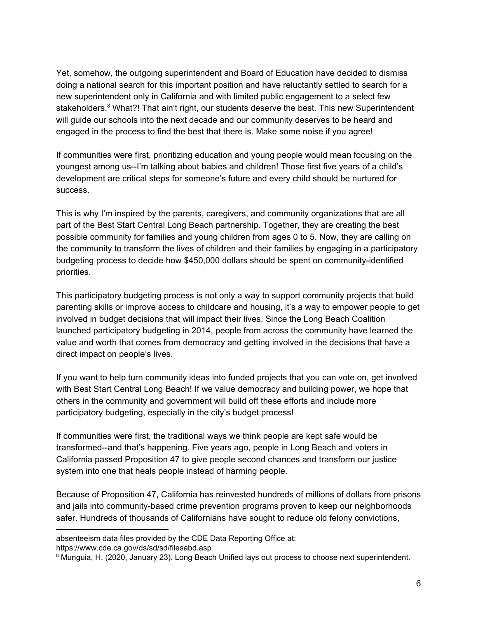Yet, somehow, the outgoing superintendent and Board of Education have decided to dismiss doing a national search for this important position and have reluctantly settled to search for a new superintendent only in California and with limited public engagement to a select few stakeholders.<sup>8</sup> What?! That ain't right, our students deserve the best. This new Superintendent will guide our schools into the next decade and our community deserves to be heard and engaged in the process to find the best that there is. Make some noise if you agree!

If communities were first, prioritizing education and young people would mean focusing on the youngest among us--I'm talking about babies and children! Those first five years of a child's development are critical steps for someone's future and every child should be nurtured for success.

This is why I'm inspired by the parents, caregivers, and community organizations that are all part of the Best Start Central Long Beach partnership. Together, they are creating the best possible community for families and young children from ages 0 to 5. Now, they are calling on the community to transform the lives of children and their families by engaging in a participatory budgeting process to decide how \$450,000 dollars should be spent on community-identified priorities.

This participatory budgeting process is not only a way to support community projects that build parenting skills or improve access to childcare and housing, it's a way to empower people to get involved in budget decisions that will impact their lives. Since the Long Beach Coalition launched participatory budgeting in 2014, people from across the community have learned the value and worth that comes from democracy and getting involved in the decisions that have a direct impact on people's lives.

If you want to help turn community ideas into funded projects that you can vote on, get involved with Best Start Central Long Beach! If we value democracy and building power, we hope that others in the community and government will build off these efforts and include more participatory budgeting, especially in the city's budget process!

If communities were first, the traditional ways we think people are kept safe would be transformed--and that's happening. Five years ago, people in Long Beach and voters in California passed Proposition 47 to give people second chances and transform our justice system into one that heals people instead of harming people.

Because of Proposition 47, California has reinvested hundreds of millions of dollars from prisons and jails into community-based crime prevention programs proven to keep our neighborhoods safer. Hundreds of thousands of Californians have sought to reduce old felony convictions,

absenteeism data files provided by the CDE Data Reporting Office at:

<https://www.cde.ca.gov/ds/sd/sd/filesabd.asp>

<sup>&</sup>lt;sup>8</sup> Munguia, H. (2020, January 23). Long Beach Unified lays out process to choose next superintendent.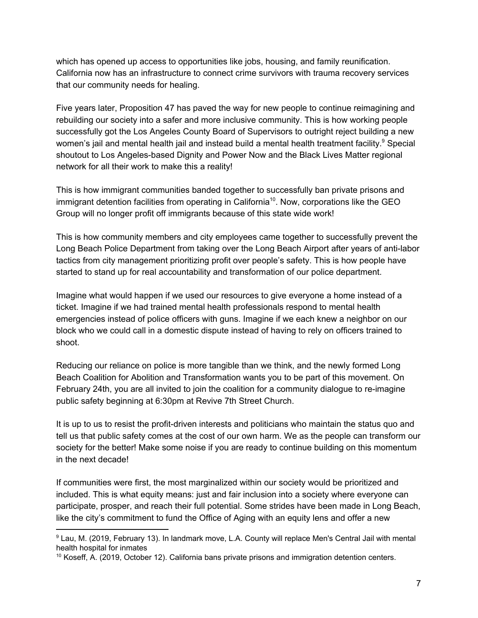which has opened up access to opportunities like jobs, housing, and family reunification. California now has an infrastructure to connect crime survivors with trauma recovery services that our community needs for healing.

Five years later, Proposition 47 has paved the way for new people to continue reimagining and rebuilding our society into a safer and more inclusive community. This is how working people successfully got the Los Angeles County Board of Supervisors to outright reject building a new women's jail and mental health jail and instead build a mental health treatment facility.<sup>9</sup> Special shoutout to Los Angeles-based Dignity and Power Now and the Black Lives Matter regional network for all their work to make this a reality!

This is how immigrant communities banded together to successfully ban private prisons and immigrant detention facilities from operating in California<sup>10</sup>. Now, corporations like the GEO Group will no longer profit off immigrants because of this state wide work!

This is how community members and city employees came together to successfully prevent the Long Beach Police Department from taking over the Long Beach Airport after years of anti-labor tactics from city management prioritizing profit over people's safety. This is how people have started to stand up for real accountability and transformation of our police department.

Imagine what would happen if we used our resources to give everyone a home instead of a ticket. Imagine if we had trained mental health professionals respond to mental health emergencies instead of police officers with guns. Imagine if we each knew a neighbor on our block who we could call in a domestic dispute instead of having to rely on officers trained to shoot.

Reducing our reliance on police is more tangible than we think, and the newly formed Long Beach Coalition for Abolition and Transformation wants you to be part of this movement. On February 24th, you are all invited to join the coalition for a community dialogue to re-imagine public safety beginning at 6:30pm at Revive 7th Street Church.

It is up to us to resist the profit-driven interests and politicians who maintain the status quo and tell us that public safety comes at the cost of our own harm. We as the people can transform our society for the better! Make some noise if you are ready to continue building on this momentum in the next decade!

If communities were first, the most marginalized within our society would be prioritized and included. This is what equity means: just and fair inclusion into a society where everyone can participate, prosper, and reach their full potential. Some strides have been made in Long Beach, like the city's commitment to fund the Office of Aging with an equity lens and offer a new

<sup>9</sup> Lau, M. (2019, February 13). In landmark move, L.A. County will replace Men's Central Jail with mental health hospital for inmates

 $10$  Koseff, A. (2019, October 12). California bans private prisons and immigration detention centers.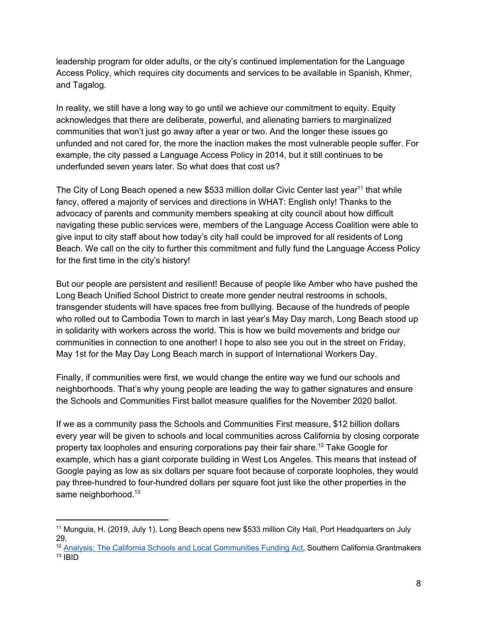leadership program for older adults, or the city's continued implementation for the Language Access Policy, which requires city documents and services to be available in Spanish, Khmer, and Tagalog.

In reality, we still have a long way to go until we achieve our commitment to equity. Equity acknowledges that there are deliberate, powerful, and alienating barriers to marginalized communities that won't just go away after a year or two. And the longer these issues go unfunded and not cared for, the more the inaction makes the most vulnerable people suffer. For example, the city passed a Language Access Policy in 2014, but it still continues to be underfunded seven years later. So what does that cost us?

The City of Long Beach opened a new \$533 million dollar Civic Center last year<sup>11</sup> that while fancy, offered a majority of services and directions in WHAT: English only! Thanks to the advocacy of parents and community members speaking at city council about how difficult navigating these public services were, members of the Language Access Coalition were able to give input to city staff about how today's city hall could be improved for all residents of Long Beach. We call on the city to further this commitment and fully fund the Language Access Policy for the first time in the city's history!

But our people are persistent and resilient! Because of people like Amber who have pushed the Long Beach Unified School District to create more gender neutral restrooms in schools, transgender students will have spaces free from bulllying. Because of the hundreds of people who rolled out to Cambodia Town to march in last year's May Day march, Long Beach stood up in solidarity with workers across the world. This is how we build movements and bridge our communities in connection to one another! I hope to also see you out in the street on Friday, May 1st for the May Day Long Beach march in support of International Workers Day.

Finally, if communities were first, we would change the entire way we fund our schools and neighborhoods. That's why young people are leading the way to gather signatures and ensure the Schools and Communities First ballot measure qualifies for the November 2020 ballot.

If we as a community pass the Schools and Communities First measure, \$12 billion dollars every year will be given to schools and local communities across California by closing corporate property tax loopholes and ensuring corporations pay their fair share.<sup>12</sup> Take Google for example, which has a giant corporate building in West Los Angeles. This means that instead of Google paying as low as six dollars per square foot because of corporate loopholes, they would pay three-hundred to four-hundred dollars per square foot just like the other properties in the same neighborhood.<sup>13</sup>

<sup>&</sup>lt;sup>11</sup> Munquia, H. (2019, July 1). Long Beach opens new \$533 million City Hall, Port Headquarters on July 29.

<sup>&</sup>lt;sup>12</sup> Analysis: The California Schools and Local [Communities](https://www.socalgrantmakers.org/resources/analysis-california-schools-and-local-communities-funding-act) Funding Act, Southern California Grantmakers  $13$  IBID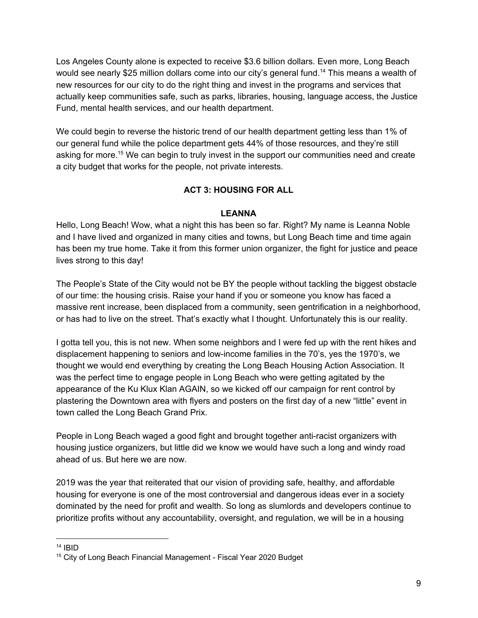Los Angeles County alone is expected to receive \$3.6 billion dollars. Even more, Long Beach would see nearly \$25 million dollars come into our city's general fund.<sup>14</sup> This means a wealth of new resources for our city to do the right thing and invest in the programs and services that actually keep communities safe, such as parks, libraries, housing, language access, the Justice Fund, mental health services, and our health department.

We could begin to reverse the historic trend of our health department getting less than 1% of our general fund while the police department gets 44% of those resources, and they're still asking for more.<sup>15</sup> We can begin to truly invest in the support our communities need and create a city budget that works for the people, not private interests.

# **ACT 3: HOUSING FOR ALL**

# **LEANNA**

Hello, Long Beach! Wow, what a night this has been so far. Right? My name is Leanna Noble and I have lived and organized in many cities and towns, but Long Beach time and time again has been my true home. Take it from this former union organizer, the fight for justice and peace lives strong to this day!

The People's State of the City would not be BY the people without tackling the biggest obstacle of our time: the housing crisis. Raise your hand if you or someone you know has faced a massive rent increase, been displaced from a community, seen gentrification in a neighborhood, or has had to live on the street. That's exactly what I thought. Unfortunately this is our reality.

I gotta tell you, this is not new. When some neighbors and I were fed up with the rent hikes and displacement happening to seniors and low-income families in the 70's, yes the 1970's, we thought we would end everything by creating the Long Beach Housing Action Association. It was the perfect time to engage people in Long Beach who were getting agitated by the appearance of the Ku Klux Klan AGAIN, so we kicked off our campaign for rent control by plastering the Downtown area with flyers and posters on the first day of a new "little" event in town called the Long Beach Grand Prix.

People in Long Beach waged a good fight and brought together anti-racist organizers with housing justice organizers, but little did we know we would have such a long and windy road ahead of us. But here we are now.

2019 was the year that reiterated that our vision of providing safe, healthy, and affordable housing for everyone is one of the most controversial and dangerous ideas ever in a society dominated by the need for profit and wealth. So long as slumlords and developers continue to prioritize profits without any accountability, oversight, and regulation, we will be in a housing

 $14$  IBID

<sup>&</sup>lt;sup>15</sup> City of Long Beach Financial Management - Fiscal Year 2020 Budget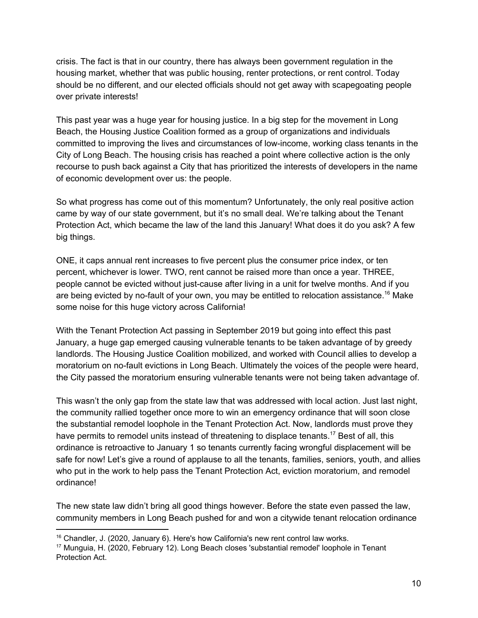crisis. The fact is that in our country, there has always been government regulation in the housing market, whether that was public housing, renter protections, or rent control. Today should be no different, and our elected officials should not get away with scapegoating people over private interests!

This past year was a huge year for housing justice. In a big step for the movement in Long Beach, the Housing Justice Coalition formed as a group of organizations and individuals committed to improving the lives and circumstances of low-income, working class tenants in the City of Long Beach. The housing crisis has reached a point where collective action is the only recourse to push back against a City that has prioritized the interests of developers in the name of economic development over us: the people.

So what progress has come out of this momentum? Unfortunately, the only real positive action came by way of our state government, but it's no small deal. We're talking about the Tenant Protection Act, which became the law of the land this January! What does it do you ask? A few big things.

ONE, it caps annual rent increases to five percent plus the consumer price index, or ten percent, whichever is lower. TWO, rent cannot be raised more than once a year. THREE, people cannot be evicted without just-cause after living in a unit for twelve months. And if you are being evicted by no-fault of your own, you may be entitled to relocation assistance.<sup>16</sup> Make some noise for this huge victory across California!

With the Tenant Protection Act passing in September 2019 but going into effect this past January, a huge gap emerged causing vulnerable tenants to be taken advantage of by greedy landlords. The Housing Justice Coalition mobilized, and worked with Council allies to develop a moratorium on no-fault evictions in Long Beach. Ultimately the voices of the people were heard, the City passed the moratorium ensuring vulnerable tenants were not being taken advantage of.

This wasn't the only gap from the state law that was addressed with local action. Just last night, the community rallied together once more to win an emergency ordinance that will soon close the substantial remodel loophole in the Tenant Protection Act. Now, landlords must prove they have permits to remodel units instead of threatening to displace tenants.<sup>17</sup> Best of all, this ordinance is retroactive to January 1 so tenants currently facing wrongful displacement will be safe for now! Let's give a round of applause to all the tenants, families, seniors, youth, and allies who put in the work to help pass the Tenant Protection Act, eviction moratorium, and remodel ordinance!

The new state law didn't bring all good things however. Before the state even passed the law, community members in Long Beach pushed for and won a citywide tenant relocation ordinance

 $16$  Chandler, J. (2020, January 6). Here's how California's new rent control law works.

<sup>17</sup> Munguia, H. (2020, February 12). Long Beach closes 'substantial remodel' loophole in Tenant Protection Act.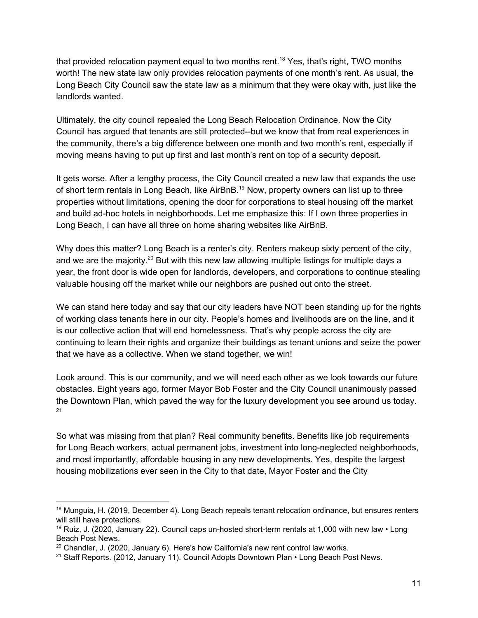that provided relocation payment equal to two months rent.<sup>18</sup> Yes, that's right, TWO months worth! The new state law only provides relocation payments of one month's rent. As usual, the Long Beach City Council saw the state law as a minimum that they were okay with, just like the landlords wanted.

Ultimately, the city council repealed the Long Beach Relocation Ordinance. Now the City Council has argued that tenants are still protected--but we know that from real experiences in the community, there's a big difference between one month and two month's rent, especially if moving means having to put up first and last month's rent on top of a security deposit.

It gets worse. After a lengthy process, the City Council created a new law that expands the use of short term rentals in Long Beach, like AirBnB.<sup>19</sup> Now, property owners can list up to three properties without limitations, opening the door for corporations to steal housing off the market and build ad-hoc hotels in neighborhoods. Let me emphasize this: If I own three properties in Long Beach, I can have all three on home sharing websites like AirBnB.

Why does this matter? Long Beach is a renter's city. Renters makeup sixty percent of the city, and we are the majority.<sup>20</sup> But with this new law allowing multiple listings for multiple days a year, the front door is wide open for landlords, developers, and corporations to continue stealing valuable housing off the market while our neighbors are pushed out onto the street.

We can stand here today and say that our city leaders have NOT been standing up for the rights of working class tenants here in our city. People's homes and livelihoods are on the line, and it is our collective action that will end homelessness. That's why people across the city are continuing to learn their rights and organize their buildings as tenant unions and seize the power that we have as a collective. When we stand together, we win!

Look around. This is our community, and we will need each other as we look towards our future obstacles. Eight years ago, former Mayor Bob Foster and the City Council unanimously passed the Downtown Plan, which paved the way for the luxury development you see around us today. 21

So what was missing from that plan? Real community benefits. Benefits like job requirements for Long Beach workers, actual permanent jobs, investment into long-neglected neighborhoods, and most importantly, affordable housing in any new developments. Yes, despite the largest housing mobilizations ever seen in the City to that date, Mayor Foster and the City

<sup>&</sup>lt;sup>18</sup> Munguia, H. (2019, December 4). Long Beach repeals tenant relocation ordinance, but ensures renters will still have protections.

<sup>&</sup>lt;sup>19</sup> Ruiz, J. (2020, January 22). Council caps un-hosted short-term rentals at 1,000 with new law  $\cdot$  Long Beach Post News.

 $20$  Chandler, J. (2020, January 6). Here's how California's new rent control law works.

<sup>&</sup>lt;sup>21</sup> Staff Reports. (2012, January 11). Council Adopts Downtown Plan • Long Beach Post News.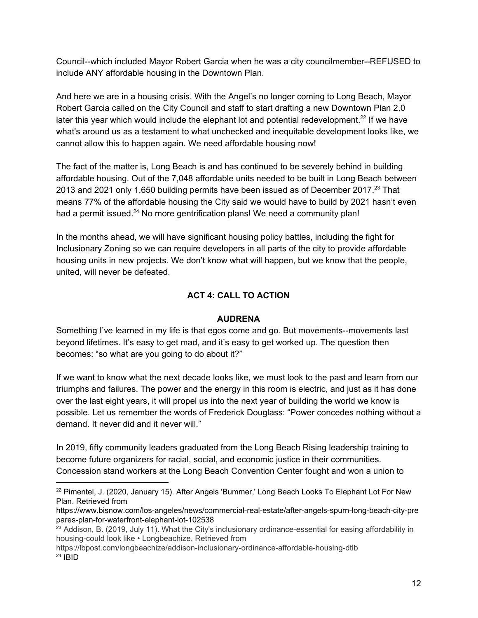Council--which included Mayor Robert Garcia when he was a city councilmember--REFUSED to include ANY affordable housing in the Downtown Plan.

And here we are in a housing crisis. With the Angel's no longer coming to Long Beach, Mayor Robert Garcia called on the City Council and staff to start drafting a new Downtown Plan 2.0 later this year which would include the elephant lot and potential redevelopment.<sup>22</sup> If we have what's around us as a testament to what unchecked and inequitable development looks like, we cannot allow this to happen again. We need affordable housing now!

The fact of the matter is, Long Beach is and has continued to be severely behind in building affordable housing. Out of the 7,048 affordable units needed to be built in Long Beach between 2013 and 2021 only 1,650 building permits have been issued as of December 2017. $^{23}$  That means 77% of the affordable housing the City said we would have to build by 2021 hasn't even had a permit issued. $24$  No more gentrification plans! We need a community plan!

In the months ahead, we will have significant housing policy battles, including the fight for Inclusionary Zoning so we can require developers in all parts of the city to provide affordable housing units in new projects. We don't know what will happen, but we know that the people, united, will never be defeated.

# **ACT 4: CALL TO ACTION**

#### **AUDRENA**

Something I've learned in my life is that egos come and go. But movements--movements last beyond lifetimes. It's easy to get mad, and it's easy to get worked up. The question then becomes: "so what are you going to do about it?"

If we want to know what the next decade looks like, we must look to the past and learn from our triumphs and failures. The power and the energy in this room is electric, and just as it has done over the last eight years, it will propel us into the next year of building the world we know is possible. Let us remember the words of Frederick Douglass: "Power concedes nothing without a demand. It never did and it never will."

In 2019, fifty community leaders graduated from the Long Beach Rising leadership training to become future organizers for racial, social, and economic justice in their communities. Concession stand workers at the Long Beach Convention Center fought and won a union to

https://lbpost.com/longbeachize/addison-inclusionary-ordinance-affordable-housing-dtlb  $24$  IBID

<sup>&</sup>lt;sup>22</sup> Pimentel, J. (2020, January 15). After Angels 'Bummer,' Long Beach Looks To Elephant Lot For New Plan. Retrieved from

[https://www.bisnow.com/los-angeles/news/commercial-real-estate/after-angels-spurn-long-beach-city-pre](https://www.bisnow.com/los-angeles/news/commercial-real-estate/after-angels-spurn-long-beach-city-prepares-plan-for-waterfront-elephant-lot-102538) [pares-plan-for-waterfront-elephant-lot-102538](https://www.bisnow.com/los-angeles/news/commercial-real-estate/after-angels-spurn-long-beach-city-prepares-plan-for-waterfront-elephant-lot-102538)

<sup>&</sup>lt;sup>23</sup> Addison, B. (2019, July 11). What the City's inclusionary ordinance-essential for easing affordability in housing-could look like • Longbeachize. Retrieved from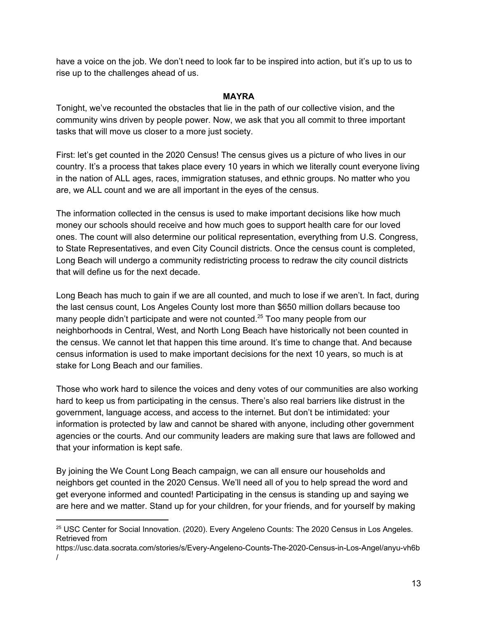have a voice on the job. We don't need to look far to be inspired into action, but it's up to us to rise up to the challenges ahead of us.

### **MAYRA**

Tonight, we've recounted the obstacles that lie in the path of our collective vision, and the community wins driven by people power. Now, we ask that you all commit to three important tasks that will move us closer to a more just society.

First: let's get counted in the 2020 Census! The census gives us a picture of who lives in our country. It's a process that takes place every 10 years in which we literally count everyone living in the nation of ALL ages, races, immigration statuses, and ethnic groups. No matter who you are, we ALL count and we are all important in the eyes of the census.

The information collected in the census is used to make important decisions like how much money our schools should receive and how much goes to support health care for our loved ones. The count will also determine our political representation, everything from U.S. Congress, to State Representatives, and even City Council districts. Once the census count is completed, Long Beach will undergo a community redistricting process to redraw the city council districts that will define us for the next decade.

Long Beach has much to gain if we are all counted, and much to lose if we aren't. In fact, during the last census count, Los Angeles County lost more than \$650 million dollars because too many people didn't participate and were not counted.<sup>25</sup> Too many people from our neighborhoods in Central, West, and North Long Beach have historically not been counted in the census. We cannot let that happen this time around. It's time to change that. And because census information is used to make important decisions for the next 10 years, so much is at stake for Long Beach and our families.

Those who work hard to silence the voices and deny votes of our communities are also working hard to keep us from participating in the census. There's also real barriers like distrust in the government, language access, and access to the internet. But don't be intimidated: your information is protected by law and cannot be shared with anyone, including other government agencies or the courts. And our community leaders are making sure that laws are followed and that your information is kept safe.

By joining the We Count Long Beach campaign, we can all ensure our households and neighbors get counted in the 2020 Census. We'll need all of you to help spread the word and get everyone informed and counted! Participating in the census is standing up and saying we are here and we matter. Stand up for your children, for your friends, and for yourself by making

<sup>&</sup>lt;sup>25</sup> USC Center for Social Innovation. (2020). Every Angeleno Counts: The 2020 Census in Los Angeles. Retrieved from

https://usc.data.socrata.com/stories/s/Every-Angeleno-Counts-The-2020-Census-in-Los-Angel/anyu-vh6b /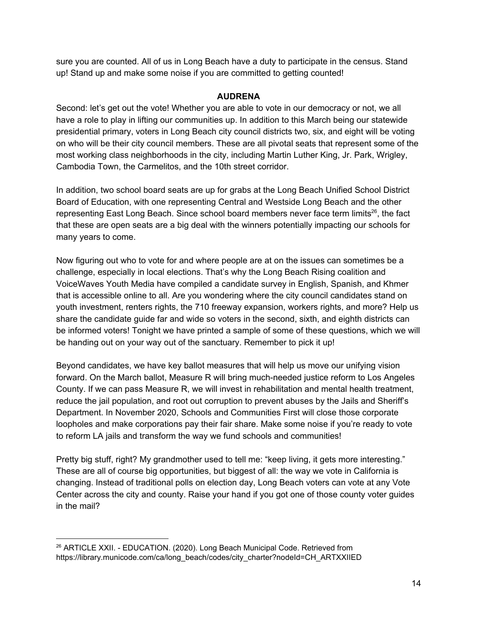sure you are counted. All of us in Long Beach have a duty to participate in the census. Stand up! Stand up and make some noise if you are committed to getting counted!

### **AUDRENA**

Second: let's get out the vote! Whether you are able to vote in our democracy or not, we all have a role to play in lifting our communities up. In addition to this March being our statewide presidential primary, voters in Long Beach city council districts two, six, and eight will be voting on who will be their city council members. These are all pivotal seats that represent some of the most working class neighborhoods in the city, including Martin Luther King, Jr. Park, Wrigley, Cambodia Town, the Carmelitos, and the 10th street corridor.

In addition, two school board seats are up for grabs at the Long Beach Unified School District Board of Education, with one representing Central and Westside Long Beach and the other representing East Long Beach. Since school board members never face term limits<sup>26</sup>, the fact that these are open seats are a big deal with the winners potentially impacting our schools for many years to come.

Now figuring out who to vote for and where people are at on the issues can sometimes be a challenge, especially in local elections. That's why the Long Beach Rising coalition and VoiceWaves Youth Media have compiled a candidate survey in English, Spanish, and Khmer that is accessible online to all. Are you wondering where the city council candidates stand on youth investment, renters rights, the 710 freeway expansion, workers rights, and more? Help us share the candidate guide far and wide so voters in the second, sixth, and eighth districts can be informed voters! Tonight we have printed a sample of some of these questions, which we will be handing out on your way out of the sanctuary. Remember to pick it up!

Beyond candidates, we have key ballot measures that will help us move our unifying vision forward. On the March ballot, Measure R will bring much-needed justice reform to Los Angeles County. If we can pass Measure R, we will invest in rehabilitation and mental health treatment, reduce the jail population, and root out corruption to prevent abuses by the Jails and Sheriff's Department. In November 2020, Schools and Communities First will close those corporate loopholes and make corporations pay their fair share. Make some noise if you're ready to vote to reform LA jails and transform the way we fund schools and communities!

Pretty big stuff, right? My grandmother used to tell me: "keep living, it gets more interesting." These are all of course big opportunities, but biggest of all: the way we vote in California is changing. Instead of traditional polls on election day, Long Beach voters can vote at any Vote Center across the city and county. Raise your hand if you got one of those county voter guides in the mail?

<sup>&</sup>lt;sup>26</sup> ARTICLE XXII. - EDUCATION. (2020). Long Beach Municipal Code. Retrieved from https://library.municode.com/ca/long\_beach/codes/city\_charter?nodeId=CH\_ARTXXIIED